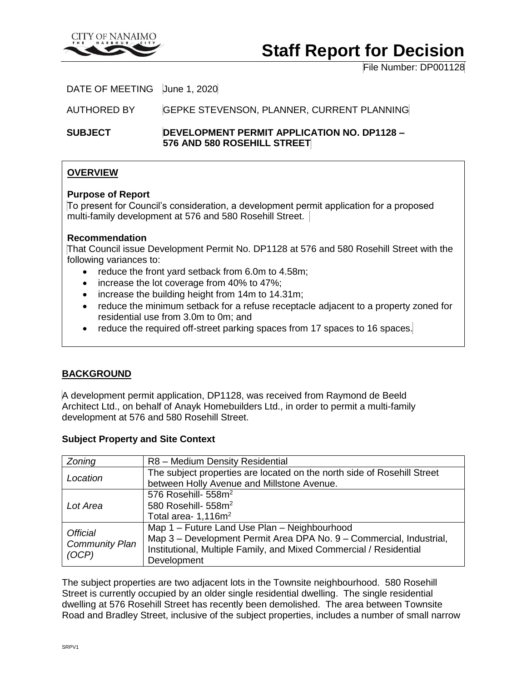

# **Staff Report for Decision**

File Number: DP001128

DATE OF MEETING June 1, 2020

AUTHORED BY GEPKE STEVENSON, PLANNER, CURRENT PLANNING

**SUBJECT DEVELOPMENT PERMIT APPLICATION NO. DP1128 – 576 AND 580 ROSEHILL STREET**

# **OVERVIEW**

### **Purpose of Report**

To present for Council's consideration, a development permit application for a proposed multi-family development at 576 and 580 Rosehill Street.

# **Recommendation**

That Council issue Development Permit No. DP1128 at 576 and 580 Rosehill Street with the following variances to:

- reduce the front yard setback from 6.0m to 4.58m;
- increase the lot coverage from 40% to 47%;
- increase the building height from 14m to 14.31m;
- reduce the minimum setback for a refuse receptacle adjacent to a property zoned for residential use from 3.0m to 0m; and
- reduce the required off-street parking spaces from 17 spaces to 16 spaces.

# **BACKGROUND**

A development permit application, DP1128, was received from Raymond de Beeld Architect Ltd., on behalf of Anayk Homebuilders Ltd., in order to permit a multi-family development at 576 and 580 Rosehill Street.

### **Subject Property and Site Context**

| Zoning                                            | R8 - Medium Density Residential                                         |
|---------------------------------------------------|-------------------------------------------------------------------------|
| Location                                          | The subject properties are located on the north side of Rosehill Street |
|                                                   | between Holly Avenue and Millstone Avenue.                              |
| Lot Area                                          | 576 Rosehill- 558m <sup>2</sup>                                         |
|                                                   | 580 Rosehill- 558m <sup>2</sup>                                         |
|                                                   | Total area- 1,116m <sup>2</sup>                                         |
| <b>Official</b><br><b>Community Plan</b><br>(OCP) | Map 1 - Future Land Use Plan - Neighbourhood                            |
|                                                   | Map 3 - Development Permit Area DPA No. 9 - Commercial, Industrial,     |
|                                                   | Institutional, Multiple Family, and Mixed Commercial / Residential      |
|                                                   | Development                                                             |

The subject properties are two adjacent lots in the Townsite neighbourhood. 580 Rosehill Street is currently occupied by an older single residential dwelling. The single residential dwelling at 576 Rosehill Street has recently been demolished. The area between Townsite Road and Bradley Street, inclusive of the subject properties, includes a number of small narrow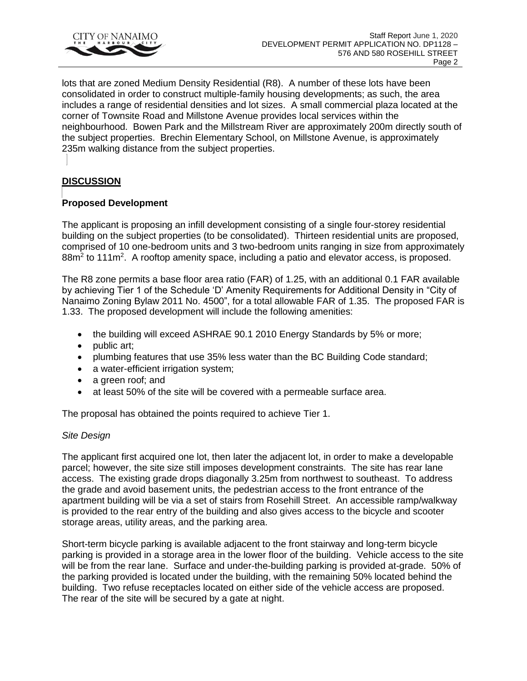

lots that are zoned Medium Density Residential (R8). A number of these lots have been consolidated in order to construct multiple-family housing developments; as such, the area includes a range of residential densities and lot sizes. A small commercial plaza located at the corner of Townsite Road and Millstone Avenue provides local services within the neighbourhood. Bowen Park and the Millstream River are approximately 200m directly south of the subject properties. Brechin Elementary School, on Millstone Avenue, is approximately 235m walking distance from the subject properties.

# **DISCUSSION**

# **Proposed Development**

The applicant is proposing an infill development consisting of a single four-storey residential building on the subject properties (to be consolidated). Thirteen residential units are proposed, comprised of 10 one-bedroom units and 3 two-bedroom units ranging in size from approximately 88m<sup>2</sup> to 111m<sup>2</sup>. A rooftop amenity space, including a patio and elevator access, is proposed.

The R8 zone permits a base floor area ratio (FAR) of 1.25, with an additional 0.1 FAR available by achieving Tier 1 of the Schedule 'D' Amenity Requirements for Additional Density in "City of Nanaimo Zoning Bylaw 2011 No. 4500", for a total allowable FAR of 1.35. The proposed FAR is 1.33. The proposed development will include the following amenities:

- the building will exceed ASHRAE 90.1 2010 Energy Standards by 5% or more;
- public art;
- plumbing features that use 35% less water than the BC Building Code standard;
- a water-efficient irrigation system;
- a green roof; and
- at least 50% of the site will be covered with a permeable surface area.

The proposal has obtained the points required to achieve Tier 1.

### *Site Design*

The applicant first acquired one lot, then later the adjacent lot, in order to make a developable parcel; however, the site size still imposes development constraints. The site has rear lane access. The existing grade drops diagonally 3.25m from northwest to southeast. To address the grade and avoid basement units, the pedestrian access to the front entrance of the apartment building will be via a set of stairs from Rosehill Street. An accessible ramp/walkway is provided to the rear entry of the building and also gives access to the bicycle and scooter storage areas, utility areas, and the parking area.

Short-term bicycle parking is available adjacent to the front stairway and long-term bicycle parking is provided in a storage area in the lower floor of the building. Vehicle access to the site will be from the rear lane. Surface and under-the-building parking is provided at-grade. 50% of the parking provided is located under the building, with the remaining 50% located behind the building. Two refuse receptacles located on either side of the vehicle access are proposed. The rear of the site will be secured by a gate at night.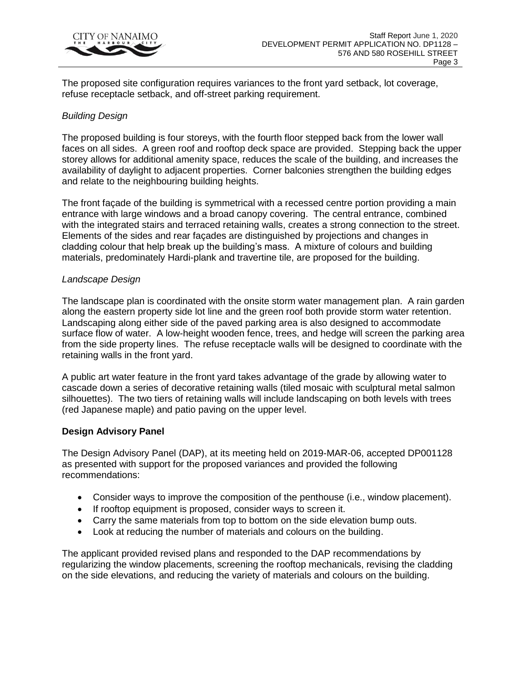

The proposed site configuration requires variances to the front yard setback, lot coverage, refuse receptacle setback, and off-street parking requirement.

# *Building Design*

The proposed building is four storeys, with the fourth floor stepped back from the lower wall faces on all sides. A green roof and rooftop deck space are provided. Stepping back the upper storey allows for additional amenity space, reduces the scale of the building, and increases the availability of daylight to adjacent properties. Corner balconies strengthen the building edges and relate to the neighbouring building heights.

The front façade of the building is symmetrical with a recessed centre portion providing a main entrance with large windows and a broad canopy covering. The central entrance, combined with the integrated stairs and terraced retaining walls, creates a strong connection to the street. Elements of the sides and rear façades are distinguished by projections and changes in cladding colour that help break up the building's mass. A mixture of colours and building materials, predominately Hardi-plank and travertine tile, are proposed for the building.

### *Landscape Design*

The landscape plan is coordinated with the onsite storm water management plan. A rain garden along the eastern property side lot line and the green roof both provide storm water retention. Landscaping along either side of the paved parking area is also designed to accommodate surface flow of water. A low-height wooden fence, trees, and hedge will screen the parking area from the side property lines. The refuse receptacle walls will be designed to coordinate with the retaining walls in the front yard.

A public art water feature in the front yard takes advantage of the grade by allowing water to cascade down a series of decorative retaining walls (tiled mosaic with sculptural metal salmon silhouettes). The two tiers of retaining walls will include landscaping on both levels with trees (red Japanese maple) and patio paving on the upper level.

### **Design Advisory Panel**

The Design Advisory Panel (DAP), at its meeting held on 2019-MAR-06, accepted DP001128 as presented with support for the proposed variances and provided the following recommendations:

- Consider ways to improve the composition of the penthouse (i.e., window placement).
- If rooftop equipment is proposed, consider ways to screen it.
- Carry the same materials from top to bottom on the side elevation bump outs.
- Look at reducing the number of materials and colours on the building.

The applicant provided revised plans and responded to the DAP recommendations by regularizing the window placements, screening the rooftop mechanicals, revising the cladding on the side elevations, and reducing the variety of materials and colours on the building.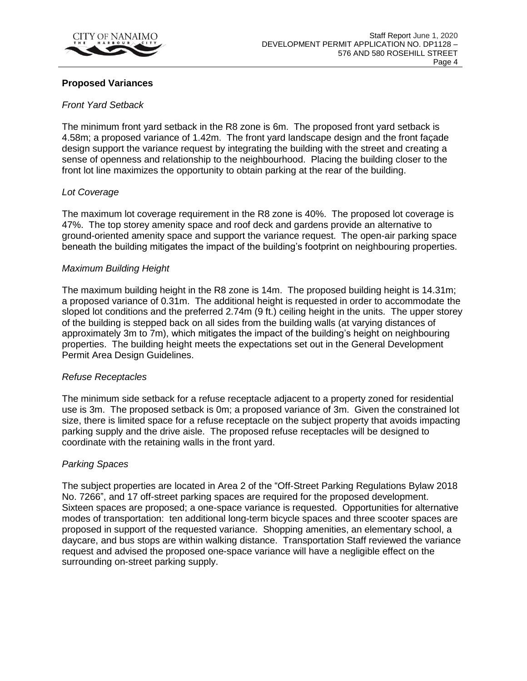

#### **Proposed Variances**

#### *Front Yard Setback*

The minimum front yard setback in the R8 zone is 6m. The proposed front yard setback is 4.58m; a proposed variance of 1.42m. The front yard landscape design and the front façade design support the variance request by integrating the building with the street and creating a sense of openness and relationship to the neighbourhood. Placing the building closer to the front lot line maximizes the opportunity to obtain parking at the rear of the building.

#### *Lot Coverage*

The maximum lot coverage requirement in the R8 zone is 40%. The proposed lot coverage is 47%. The top storey amenity space and roof deck and gardens provide an alternative to ground-oriented amenity space and support the variance request. The open-air parking space beneath the building mitigates the impact of the building's footprint on neighbouring properties.

#### *Maximum Building Height*

The maximum building height in the R8 zone is 14m. The proposed building height is 14.31m; a proposed variance of 0.31m. The additional height is requested in order to accommodate the sloped lot conditions and the preferred 2.74m (9 ft.) ceiling height in the units. The upper storey of the building is stepped back on all sides from the building walls (at varying distances of approximately 3m to 7m), which mitigates the impact of the building's height on neighbouring properties. The building height meets the expectations set out in the General Development Permit Area Design Guidelines.

#### *Refuse Receptacles*

The minimum side setback for a refuse receptacle adjacent to a property zoned for residential use is 3m. The proposed setback is 0m; a proposed variance of 3m. Given the constrained lot size, there is limited space for a refuse receptacle on the subject property that avoids impacting parking supply and the drive aisle. The proposed refuse receptacles will be designed to coordinate with the retaining walls in the front yard.

#### *Parking Spaces*

The subject properties are located in Area 2 of the "Off-Street Parking Regulations Bylaw 2018 No. 7266", and 17 off-street parking spaces are required for the proposed development. Sixteen spaces are proposed; a one-space variance is requested. Opportunities for alternative modes of transportation: ten additional long-term bicycle spaces and three scooter spaces are proposed in support of the requested variance. Shopping amenities, an elementary school, a daycare, and bus stops are within walking distance. Transportation Staff reviewed the variance request and advised the proposed one-space variance will have a negligible effect on the surrounding on-street parking supply.